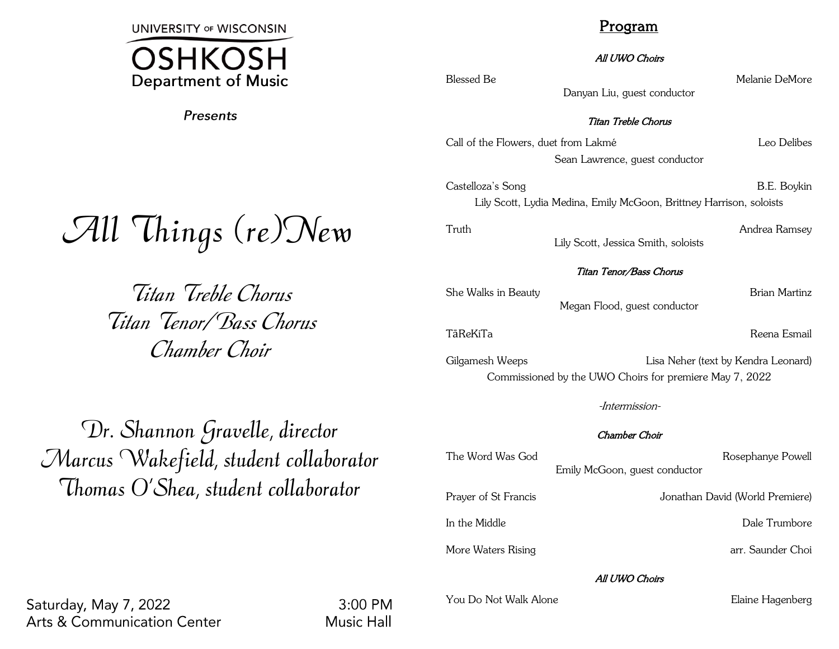**UNIVERSITY OF WISCONSIN** 



Presents

# All Things (re)New

Titan Treble Chorus Titan Tenor/Bass Chorus Chamber Choir

Program

All UWO Choirs

Danyan Liu, guest conductor

Blessed Be Melanie DeMore

# Titan Treble Chorus

Call of the Flowers, duet from Lakmé Leo Delibes Sean Lawrence, guest conductor

Castelloza's Song B.E. Boykin Lily Scott, Lydia Medina, Emily McGoon, Brittney Harrison, soloists

Truth Andrea Ramsey Lily Scott, Jessica Smith, soloists

### Titan Tenor/Bass Chorus

She Walks in Beauty **Brian Martinz** Megan Flood, guest conductor

TāReKiTa Reena Esmail

Gilgamesh Weeps **Lisa Neher (text by Kendra Leonard)** Commissioned by the UWO Choirs for premiere May 7, 2022

-Intermission-

### Chamber Choir

| The Word Was God     | Emily McGoon, guest conductor | Rosephanye Powell               |
|----------------------|-------------------------------|---------------------------------|
| Prayer of St Francis |                               | Jonathan David (World Premiere) |
| In the Middle        |                               | Dale Trumbore                   |
| More Waters Rising   |                               | arr. Saunder Choi               |

### All UWO Choirs

You Do Not Walk Alone **Elaine Hagenberg** 

Dr. Shannon Gravelle, director Marcus Wakefield, student collaborator Thomas O'Shea, student collaborator

Saturday, May 7, 2022 **Arts & Communication Center** 

 $3:00$  PM **Music Hall**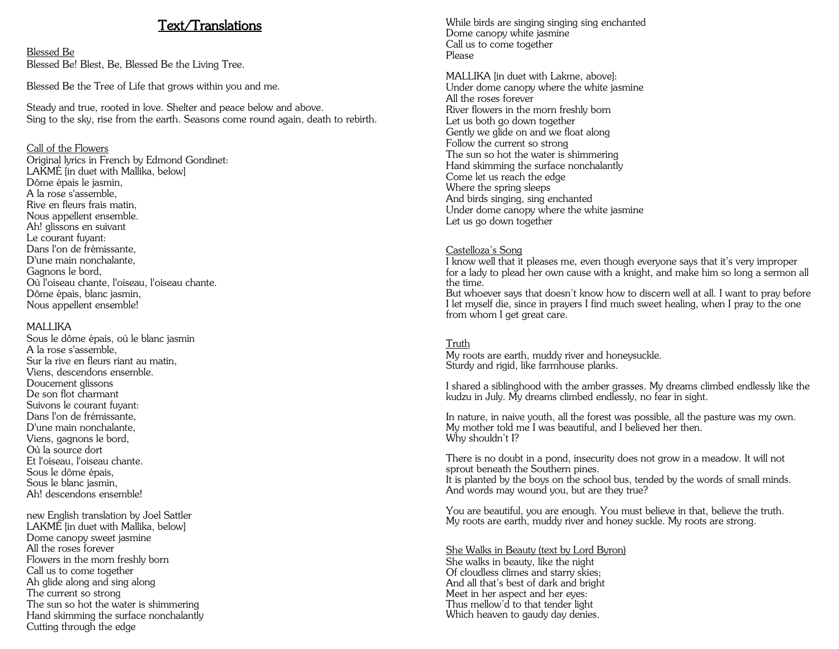# Text/Translations

Blessed Be Blessed Be! Blest, Be, Blessed Be the Living Tree.

Blessed Be the Tree of Life that grows within you and me.

Steady and true, rooted in love. Shelter and peace below and above. Sing to the sky, rise from the earth. Seasons come round again, death to rebirth.

### Call of the Flowers

Original lyrics in French by Edmond Gondinet: LAKMÉ [in duet with Mallika, below] Dôme épais le jasmin, A la rose s'assemble, Rive en fleurs frais matin, Nous appellent ensemble. Ah! glissons en suivant Le courant fuyant: Dans l'on de frémissante, D'une main nonchalante, Gagnons le bord, Où l'oiseau chante, l'oiseau, l'oiseau chante. Dôme épais, blanc jasmin, Nous appellent ensemble!

#### MAI I IKA

Sous le dôme épais, où le blanc jasmin A la rose s'assemble, Sur la rive en fleurs riant au matin, Viens, descendons ensemble. Doucement glissons De son flot charmant Suivons le courant fuyant: Dans l'on de frémissante, D'une main nonchalante, Viens, gagnons le bord, Où la source dort Et l'oiseau, l'oiseau chante. Sous le dôme épais, Sous le blanc jasmin, Ah! descendons ensemble!

new English translation by Joel Sattler LAKMÉ [in duet with Mallika, below] Dome canopy sweet jasmine All the roses forever Flowers in the morn freshly born Call us to come together Ah glide along and sing along The current so strong The sun so hot the water is shimmering Hand skimming the surface nonchalantly Cutting through the edge

While birds are singing singing sing enchanted Dome canopy white jasmine Call us to come together Please

MALLIKA [in duet with Lakme, above]: Under dome canopy where the white jasmine All the roses forever River flowers in the morn freshly born Let us both go down together Gently we glide on and we float along Follow the current so strong The sun so hot the water is shimmering Hand skimming the surface nonchalantly Come let us reach the edge Where the spring sleeps And birds singing, sing enchanted Under dome canopy where the white jasmine Let us go down together

#### Castelloza's Song

I know well that it pleases me, even though everyone says that it's very improper for a lady to plead her own cause with a knight, and make him so long a sermon all the time.

But whoever says that doesn't know how to discern well at all. I want to pray before I let myself die, since in prayers I find much sweet healing, when I pray to the one from whom I get great care.

#### Truth

My roots are earth, muddy river and honeysuckle. Sturdy and rigid, like farmhouse planks.

I shared a siblinghood with the amber grasses. My dreams climbed endlessly like the kudzu in July. My dreams climbed endlessly, no fear in sight.

In nature, in naive youth, all the forest was possible, all the pasture was my own. My mother told me I was beautiful, and I believed her then. Why shouldn't I?

There is no doubt in a pond, insecurity does not grow in a meadow. It will not sprout beneath the Southern pines.

It is planted by the boys on the school bus, tended by the words of small minds. And words may wound you, but are they true?

You are beautiful, you are enough. You must believe in that, believe the truth. My roots are earth, muddy river and honey suckle. My roots are strong.

#### She Walks in Beauty (text by Lord Byron) She walks in beauty, like the night Of cloudless climes and starry skies; And all that's best of dark and bright Meet in her aspect and her eyes:

Thus mellow'd to that tender light Which heaven to gaudy day denies.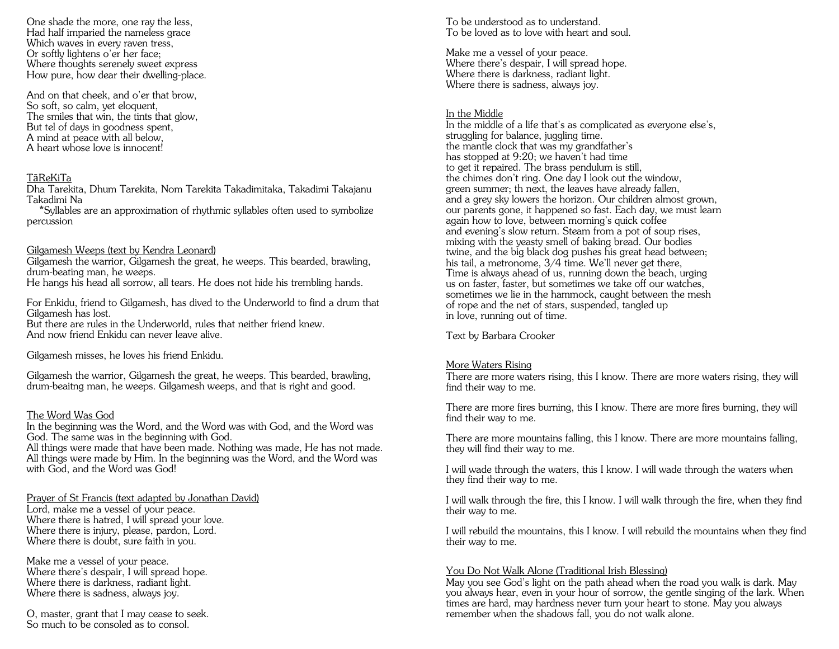One shade the more, one ray the less, Had half imparied the nameless grace Which waves in every raven tress, Or softly lightens o'er her face; Where thoughts serenely sweet express How pure, how dear their dwelling-place.

And on that cheek, and o'er that brow, So soft, so calm, yet eloquent, The smiles that win, the tints that glow, But tel of days in goodness spent, A mind at peace with all below, A heart whose love is innocent!

#### TāReKiTa

Dha Tarekita, Dhum Tarekita, Nom Tarekita Takadimitaka, Takadimi Takajanu Takadimi Na

 \*Syllables are an approximation of rhythmic syllables often used to symbolize percussion

#### Gilgamesh Weeps (text by Kendra Leonard)

Gilgamesh the warrior, Gilgamesh the great, he weeps. This bearded, brawling, drum-beating man, he weeps. He hangs his head all sorrow, all tears. He does not hide his trembling hands.

For Enkidu, friend to Gilgamesh, has dived to the Underworld to find a drum that Gilgamesh has lost.

But there are rules in the Underworld, rules that neither friend knew. And now friend Enkidu can never leave alive.

Gilgamesh misses, he loves his friend Enkidu.

Gilgamesh the warrior, Gilgamesh the great, he weeps. This bearded, brawling, drum-beaitng man, he weeps. Gilgamesh weeps, and that is right and good.

#### The Word Was God

In the beginning was the Word, and the Word was with God, and the Word was God. The same was in the beginning with God.

All things were made that have been made. Nothing was made, He has not made. All things were made by Him. In the beginning was the Word, and the Word was with God, and the Word was God!

Prayer of St Francis (text adapted by Jonathan David)

Lord, make me a vessel of your peace. Where there is hatred, I will spread your love. Where there is injury, please, pardon, Lord. Where there is doubt, sure faith in you.

Make me a vessel of your peace. Where there's despair, I will spread hope. Where there is darkness, radiant light. Where there is sadness, always joy.

O, master, grant that I may cease to seek. So much to be consoled as to consol.

To be understood as to understand. To be loved as to love with heart and soul.

Make me a vessel of your peace. Where there's despair, I will spread hope. Where there is darkness, radiant light. Where there is sadness, always joy.

#### In the Middle

In the middle of a life that's as complicated as everyone else's, struggling for balance, juggling time. the mantle clock that was my grandfather's has stopped at 9:20; we haven't had time to get it repaired. The brass pendulum is still, the chimes don't ring. One day I look out the window, green summer; th next, the leaves have already fallen, and a grey sky lowers the horizon. Our children almost grown, our parents gone, it happened so fast. Each day, we must learn again how to love, between morning's quick coffee and evening's slow return. Steam from a pot of soup rises, mixing with the yeasty smell of baking bread. Our bodies twine, and the big black dog pushes his great head between; his tail, a metronome, 3/4 time. We'll never get there, Time is always ahead of us, running down the beach, urging us on faster, faster, but sometimes we take off our watches, sometimes we lie in the hammock, caught between the mesh of rope and the net of stars, suspended, tangled up in love, running out of time.

Text by Barbara Crooker

#### More Waters Rising

There are more waters rising, this I know. There are more waters rising, they will find their way to me.

There are more fires burning, this I know. There are more fires burning, they will find their way to me.

There are more mountains falling, this I know. There are more mountains falling, they will find their way to me.

I will wade through the waters, this I know. I will wade through the waters when they find their way to me.

I will walk through the fire, this I know. I will walk through the fire, when they find their way to me.

I will rebuild the mountains, this I know. I will rebuild the mountains when they find their way to me.

### You Do Not Walk Alone (Traditional Irish Blessing)

May you see God's light on the path ahead when the road you walk is dark. May you always hear, even in your hour of sorrow, the gentle singing of the lark. When times are hard, may hardness never turn your heart to stone. May you always remember when the shadows fall, you do not walk alone.